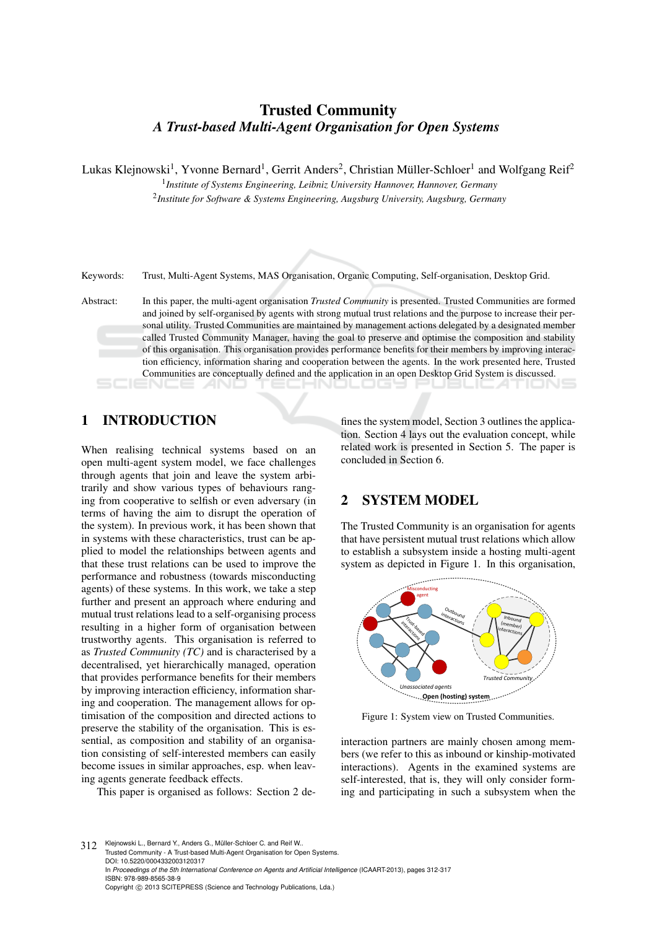# Trusted Community *A Trust-based Multi-Agent Organisation for Open Systems*

Lukas Klejnowski<sup>1</sup>, Yvonne Bernard<sup>1</sup>, Gerrit Anders<sup>2</sup>, Christian Müller-Schloer<sup>1</sup> and Wolfgang Reif<sup>2</sup>

1 *Institute of Systems Engineering, Leibniz University Hannover, Hannover, Germany* 2 *Institute for Software & Systems Engineering, Augsburg University, Augsburg, Germany*

Keywords: Trust, Multi-Agent Systems, MAS Organisation, Organic Computing, Self-organisation, Desktop Grid.

Abstract: In this paper, the multi-agent organisation *Trusted Community* is presented. Trusted Communities are formed and joined by self-organised by agents with strong mutual trust relations and the purpose to increase their personal utility. Trusted Communities are maintained by management actions delegated by a designated member called Trusted Community Manager, having the goal to preserve and optimise the composition and stability of this organisation. This organisation provides performance benefits for their members by improving interaction efficiency, information sharing and cooperation between the agents. In the work presented here, Trusted Communities are conceptually defined and the application in an open Desktop Grid System is discussed.

## 1 INTRODUCTION

When realising technical systems based on an open multi-agent system model, we face challenges through agents that join and leave the system arbitrarily and show various types of behaviours ranging from cooperative to selfish or even adversary (in terms of having the aim to disrupt the operation of the system). In previous work, it has been shown that in systems with these characteristics, trust can be applied to model the relationships between agents and that these trust relations can be used to improve the performance and robustness (towards misconducting agents) of these systems. In this work, we take a step further and present an approach where enduring and mutual trust relations lead to a self-organising process resulting in a higher form of organisation between trustworthy agents. This organisation is referred to as *Trusted Community (TC)* and is characterised by a decentralised, yet hierarchically managed, operation that provides performance benefits for their members by improving interaction efficiency, information sharing and cooperation. The management allows for optimisation of the composition and directed actions to preserve the stability of the organisation. This is essential, as composition and stability of an organisation consisting of self-interested members can easily become issues in similar approaches, esp. when leaving agents generate feedback effects.

This paper is organised as follows: Section 2 de-

fines the system model, Section 3 outlines the application. Section 4 lays out the evaluation concept, while related work is presented in Section 5. The paper is concluded in Section 6.

## 2 SYSTEM MODEL

The Trusted Community is an organisation for agents that have persistent mutual trust relations which allow to establish a subsystem inside a hosting multi-agent system as depicted in Figure 1. In this organisation,



Figure 1: System view on Trusted Communities.

interaction partners are mainly chosen among members (we refer to this as inbound or kinship-motivated interactions). Agents in the examined systems are self-interested, that is, they will only consider forming and participating in such a subsystem when the

312 Klejnowski L., Bernard Y., Anders G., Müller-Schloer C. and Reif W. Trusted Community - A Trust-based Multi-Agent Organisation for Open Systems. DOI: 10.5220/0004332003120317 In *Proceedings of the 5th International Conference on Agents and Artificial Intelligence* (ICAART-2013), pages 312-317 ISBN: 978-989-8565-38-9 Copyright (C) 2013 SCITEPRESS (Science and Technology Publications, Lda.)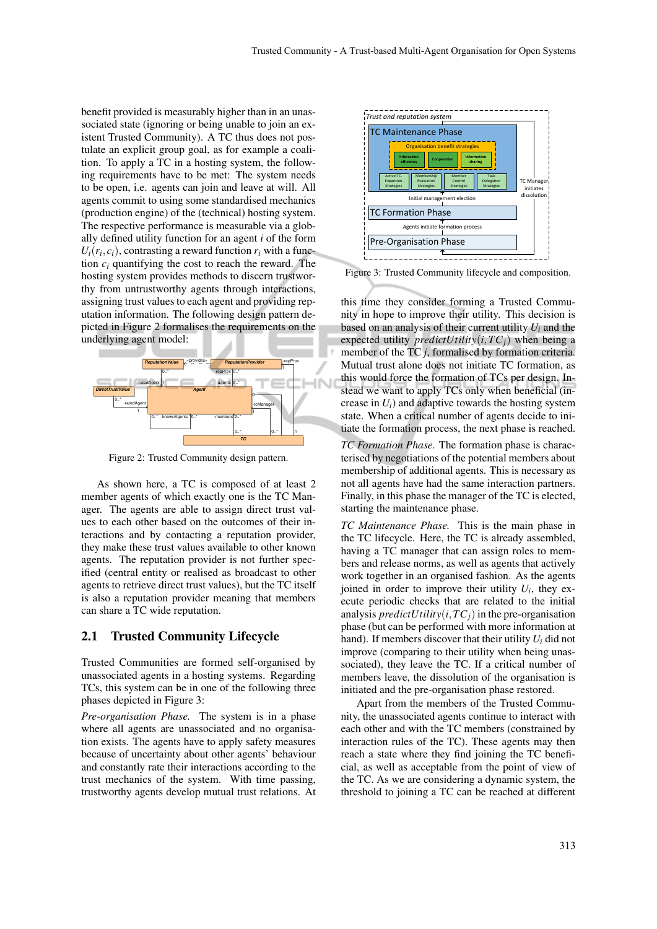benefit provided is measurably higher than in an unassociated state (ignoring or being unable to join an existent Trusted Community). A TC thus does not postulate an explicit group goal, as for example a coalition. To apply a TC in a hosting system, the following requirements have to be met: The system needs to be open, i.e. agents can join and leave at will. All agents commit to using some standardised mechanics (production engine) of the (technical) hosting system. The respective performance is measurable via a globally defined utility function for an agent *i* of the form  $U_i(r_i, c_i)$ , contrasting a reward function  $r_i$  with a function  $c_i$  quantifying the cost to reach the reward. The hosting system provides methods to discern trustworthy from untrustworthy agents through interactions, assigning trust values to each agent and providing reputation information. The following design pattern depicted in Figure 2 formalises the requirements on the underlying agent model:



Figure 2: Trusted Community design pattern.

As shown here, a TC is composed of at least 2 member agents of which exactly one is the TC Manager. The agents are able to assign direct trust values to each other based on the outcomes of their interactions and by contacting a reputation provider, they make these trust values available to other known agents. The reputation provider is not further specified (central entity or realised as broadcast to other agents to retrieve direct trust values), but the TC itself is also a reputation provider meaning that members can share a TC wide reputation.

#### 2.1 Trusted Community Lifecycle

Trusted Communities are formed self-organised by unassociated agents in a hosting systems. Regarding TCs, this system can be in one of the following three phases depicted in Figure 3:

*Pre-organisation Phase.* The system is in a phase where all agents are unassociated and no organisation exists. The agents have to apply safety measures because of uncertainty about other agents' behaviour and constantly rate their interactions according to the trust mechanics of the system. With time passing, trustworthy agents develop mutual trust relations. At



Figure 3: Trusted Community lifecycle and composition.

this time they consider forming a Trusted Community in hope to improve their utility. This decision is based on an analysis of their current utility *U<sup>i</sup>* and the expected utility *predictUtility* $(i,TC<sub>i</sub>)$  when being a member of the TC *j*, formalised by formation criteria. Mutual trust alone does not initiate TC formation, as this would force the formation of TCs per design. Instead we want to apply TCs only when beneficial (increase in  $U_i$ ) and adaptive towards the hosting system state. When a critical number of agents decide to initiate the formation process, the next phase is reached.

*TC Formation Phase.* The formation phase is characterised by negotiations of the potential members about membership of additional agents. This is necessary as not all agents have had the same interaction partners. Finally, in this phase the manager of the TC is elected, starting the maintenance phase.

*TC Maintenance Phase.* This is the main phase in the TC lifecycle. Here, the TC is already assembled, having a TC manager that can assign roles to members and release norms, as well as agents that actively work together in an organised fashion. As the agents joined in order to improve their utility  $U_i$ , they execute periodic checks that are related to the initial analysis *predictUtility* $(i,TC<sub>i</sub>)$  in the pre-organisation phase (but can be performed with more information at hand). If members discover that their utility *U<sup>i</sup>* did not improve (comparing to their utility when being unassociated), they leave the TC. If a critical number of members leave, the dissolution of the organisation is initiated and the pre-organisation phase restored.

Apart from the members of the Trusted Community, the unassociated agents continue to interact with each other and with the TC members (constrained by interaction rules of the TC). These agents may then reach a state where they find joining the TC beneficial, as well as acceptable from the point of view of the TC. As we are considering a dynamic system, the threshold to joining a TC can be reached at different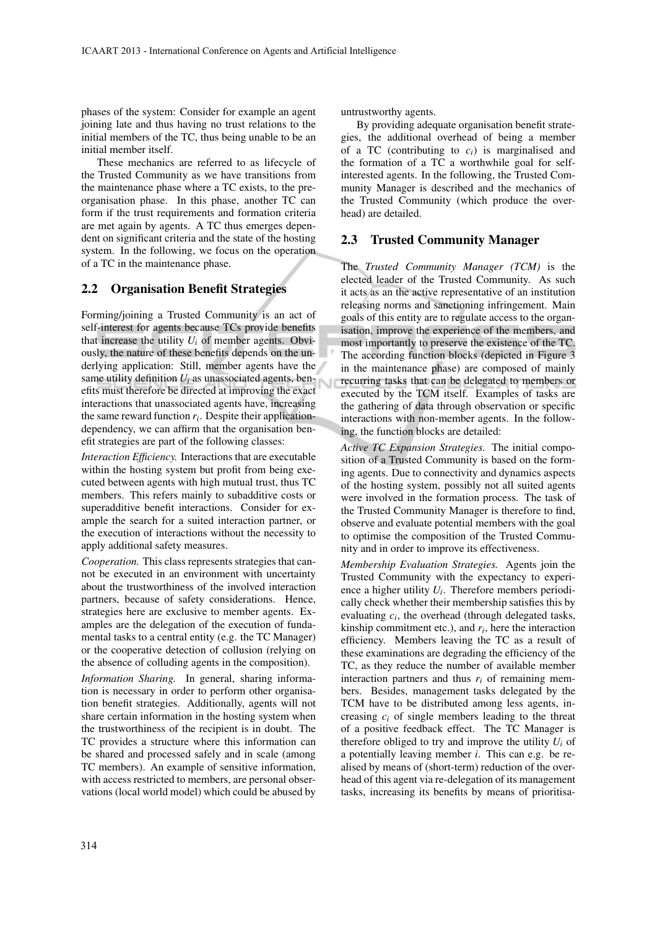phases of the system: Consider for example an agent joining late and thus having no trust relations to the initial members of the TC, thus being unable to be an initial member itself.

These mechanics are referred to as lifecycle of the Trusted Community as we have transitions from the maintenance phase where a TC exists, to the preorganisation phase. In this phase, another TC can form if the trust requirements and formation criteria are met again by agents. A TC thus emerges dependent on significant criteria and the state of the hosting system. In the following, we focus on the operation of a TC in the maintenance phase.

#### 2.2 Organisation Benefit Strategies

Forming/joining a Trusted Community is an act of self-interest for agents because TCs provide benefits that increase the utility  $U_i$  of member agents. Obviously, the nature of these benefits depends on the underlying application: Still, member agents have the same utility definition  $U_i$  as unassociated agents, benefits must therefore be directed at improving the exact interactions that unassociated agents have, increasing the same reward function  $r_i$ . Despite their applicationdependency, we can affirm that the organisation benefit strategies are part of the following classes:

*Interaction Efficiency.* Interactions that are executable within the hosting system but profit from being executed between agents with high mutual trust, thus TC members. This refers mainly to subadditive costs or superadditive benefit interactions. Consider for example the search for a suited interaction partner, or the execution of interactions without the necessity to apply additional safety measures.

*Cooperation.* This class represents strategies that cannot be executed in an environment with uncertainty about the trustworthiness of the involved interaction partners, because of safety considerations. Hence, strategies here are exclusive to member agents. Examples are the delegation of the execution of fundamental tasks to a central entity (e.g. the TC Manager) or the cooperative detection of collusion (relying on the absence of colluding agents in the composition).

*Information Sharing.* In general, sharing information is necessary in order to perform other organisation benefit strategies. Additionally, agents will not share certain information in the hosting system when the trustworthiness of the recipient is in doubt. The TC provides a structure where this information can be shared and processed safely and in scale (among TC members). An example of sensitive information, with access restricted to members, are personal observations (local world model) which could be abused by

untrustworthy agents.

By providing adequate organisation benefit strategies, the additional overhead of being a member of a TC (contributing to  $c_i$ ) is marginalised and the formation of a TC a worthwhile goal for selfinterested agents. In the following, the Trusted Community Manager is described and the mechanics of the Trusted Community (which produce the overhead) are detailed.

#### 2.3 Trusted Community Manager

The *Trusted Community Manager (TCM)* is the elected leader of the Trusted Community. As such it acts as an the active representative of an institution releasing norms and sanctioning infringement. Main goals of this entity are to regulate access to the organisation, improve the experience of the members, and most importantly to preserve the existence of the TC. The according function blocks (depicted in Figure 3 in the maintenance phase) are composed of mainly recurring tasks that can be delegated to members or executed by the TCM itself. Examples of tasks are the gathering of data through observation or specific interactions with non-member agents. In the following, the function blocks are detailed:

*Active TC Expansion Strategies.* The initial composition of a Trusted Community is based on the forming agents. Due to connectivity and dynamics aspects of the hosting system, possibly not all suited agents were involved in the formation process. The task of the Trusted Community Manager is therefore to find, observe and evaluate potential members with the goal to optimise the composition of the Trusted Community and in order to improve its effectiveness.

*Membership Evaluation Strategies.* Agents join the Trusted Community with the expectancy to experience a higher utility *U<sup>i</sup>* . Therefore members periodically check whether their membership satisfies this by evaluating  $c_i$ , the overhead (through delegated tasks, kinship commitment etc.), and  $r_i$ , here the interaction efficiency. Members leaving the TC as a result of these examinations are degrading the efficiency of the TC, as they reduce the number of available member interaction partners and thus  $r_i$  of remaining members. Besides, management tasks delegated by the TCM have to be distributed among less agents, increasing  $c_i$  of single members leading to the threat of a positive feedback effect. The TC Manager is therefore obliged to try and improve the utility  $U_i$  of a potentially leaving member *i*. This can e.g. be realised by means of (short-term) reduction of the overhead of this agent via re-delegation of its management tasks, increasing its benefits by means of prioritisa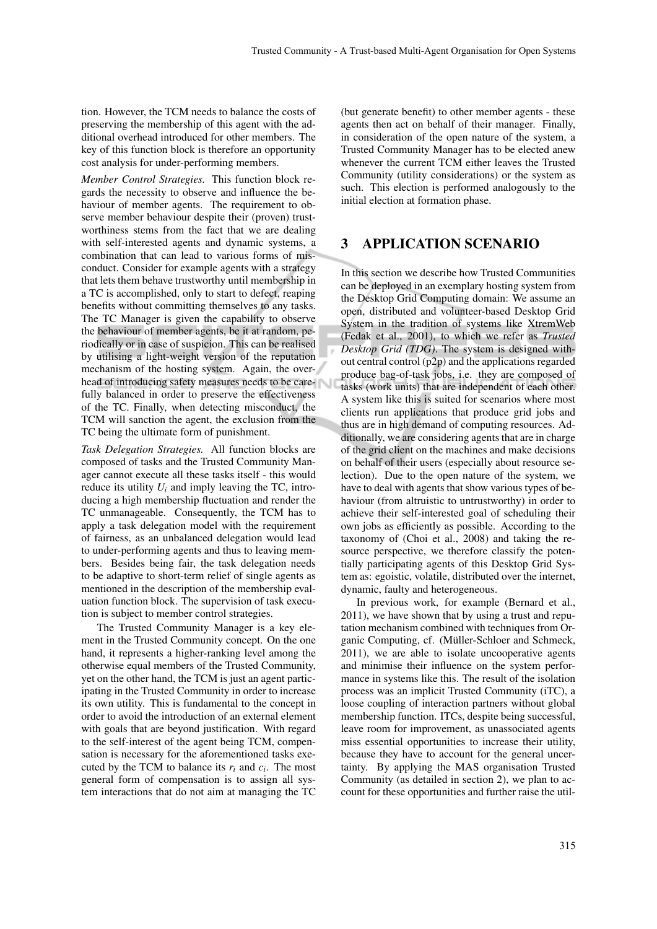tion. However, the TCM needs to balance the costs of preserving the membership of this agent with the additional overhead introduced for other members. The key of this function block is therefore an opportunity cost analysis for under-performing members.

*Member Control Strategies.* This function block regards the necessity to observe and influence the behaviour of member agents. The requirement to observe member behaviour despite their (proven) trustworthiness stems from the fact that we are dealing with self-interested agents and dynamic systems, a combination that can lead to various forms of misconduct. Consider for example agents with a strategy that lets them behave trustworthy until membership in a TC is accomplished, only to start to defect, reaping benefits without committing themselves to any tasks. The TC Manager is given the capability to observe the behaviour of member agents, be it at random, periodically or in case of suspicion. This can be realised by utilising a light-weight version of the reputation mechanism of the hosting system. Again, the overhead of introducing safety measures needs to be carefully balanced in order to preserve the effectiveness of the TC. Finally, when detecting misconduct, the TCM will sanction the agent, the exclusion from the TC being the ultimate form of punishment.

*Task Delegation Strategies.* All function blocks are composed of tasks and the Trusted Community Manager cannot execute all these tasks itself - this would reduce its utility  $U_i$  and imply leaving the TC, introducing a high membership fluctuation and render the TC unmanageable. Consequently, the TCM has to apply a task delegation model with the requirement of fairness, as an unbalanced delegation would lead to under-performing agents and thus to leaving members. Besides being fair, the task delegation needs to be adaptive to short-term relief of single agents as mentioned in the description of the membership evaluation function block. The supervision of task execution is subject to member control strategies.

The Trusted Community Manager is a key element in the Trusted Community concept. On the one hand, it represents a higher-ranking level among the otherwise equal members of the Trusted Community, yet on the other hand, the TCM is just an agent participating in the Trusted Community in order to increase its own utility. This is fundamental to the concept in order to avoid the introduction of an external element with goals that are beyond justification. With regard to the self-interest of the agent being TCM, compensation is necessary for the aforementioned tasks executed by the TCM to balance its  $r_i$  and  $c_i$ . The most general form of compensation is to assign all system interactions that do not aim at managing the TC

(but generate benefit) to other member agents - these agents then act on behalf of their manager. Finally, in consideration of the open nature of the system, a Trusted Community Manager has to be elected anew whenever the current TCM either leaves the Trusted Community (utility considerations) or the system as such. This election is performed analogously to the initial election at formation phase.

#### 3 APPLICATION SCENARIO

In this section we describe how Trusted Communities can be deployed in an exemplary hosting system from the Desktop Grid Computing domain: We assume an open, distributed and volunteer-based Desktop Grid System in the tradition of systems like XtremWeb (Fedak et al., 2001), to which we refer as *Trusted Desktop Grid (TDG)*. The system is designed without central control (p2p) and the applications regarded produce bag-of-task jobs, i.e. they are composed of tasks (work units) that are independent of each other. A system like this is suited for scenarios where most clients run applications that produce grid jobs and thus are in high demand of computing resources. Additionally, we are considering agents that are in charge of the grid client on the machines and make decisions on behalf of their users (especially about resource selection). Due to the open nature of the system, we have to deal with agents that show various types of behaviour (from altruistic to untrustworthy) in order to achieve their self-interested goal of scheduling their own jobs as efficiently as possible. According to the taxonomy of (Choi et al., 2008) and taking the resource perspective, we therefore classify the potentially participating agents of this Desktop Grid System as: egoistic, volatile, distributed over the internet, dynamic, faulty and heterogeneous.

In previous work, for example (Bernard et al., 2011), we have shown that by using a trust and reputation mechanism combined with techniques from Organic Computing, cf. (Müller-Schloer and Schmeck, 2011), we are able to isolate uncooperative agents and minimise their influence on the system performance in systems like this. The result of the isolation process was an implicit Trusted Community (iTC), a loose coupling of interaction partners without global membership function. ITCs, despite being successful, leave room for improvement, as unassociated agents miss essential opportunities to increase their utility, because they have to account for the general uncertainty. By applying the MAS organisation Trusted Community (as detailed in section 2), we plan to account for these opportunities and further raise the util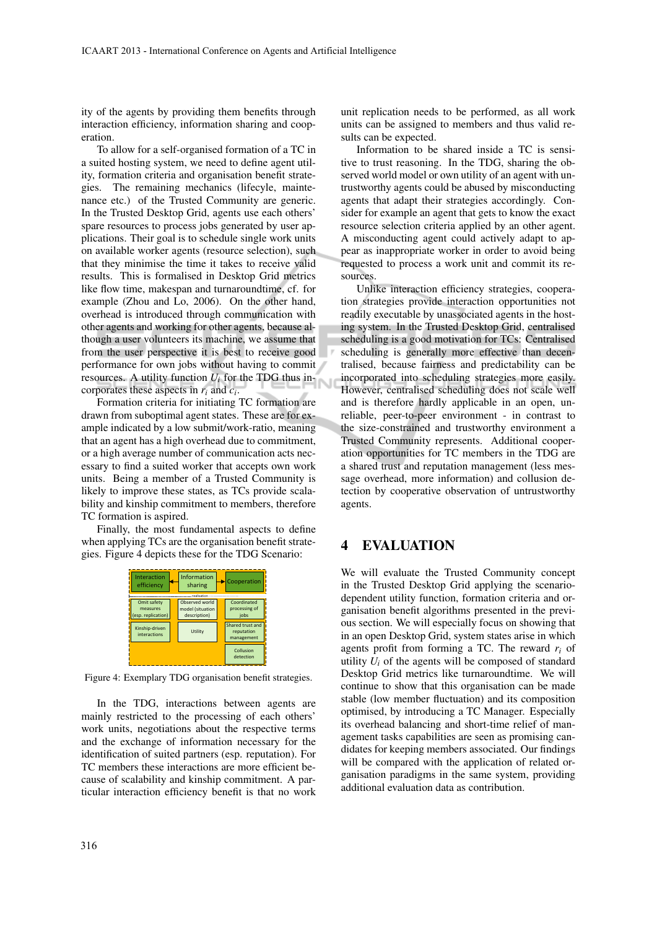ity of the agents by providing them benefits through interaction efficiency, information sharing and cooperation.

To allow for a self-organised formation of a TC in a suited hosting system, we need to define agent utility, formation criteria and organisation benefit strategies. The remaining mechanics (lifecyle, maintenance etc.) of the Trusted Community are generic. In the Trusted Desktop Grid, agents use each others' spare resources to process jobs generated by user applications. Their goal is to schedule single work units on available worker agents (resource selection), such that they minimise the time it takes to receive valid results. This is formalised in Desktop Grid metrics like flow time, makespan and turnaroundtime, cf. for example (Zhou and Lo, 2006). On the other hand, overhead is introduced through communication with other agents and working for other agents, because although a user volunteers its machine, we assume that from the user perspective it is best to receive good performance for own jobs without having to commit resources. A utility function  $U_i$  for the TDG thus incorporates these aspects in *r<sup>i</sup>* and *c<sup>i</sup>* .

Formation criteria for initiating TC formation are drawn from suboptimal agent states. These are for example indicated by a low submit/work-ratio, meaning that an agent has a high overhead due to commitment, or a high average number of communication acts necessary to find a suited worker that accepts own work units. Being a member of a Trusted Community is likely to improve these states, as TCs provide scalability and kinship commitment to members, therefore TC formation is aspired.

Finally, the most fundamental aspects to define when applying TCs are the organisation benefit strategies. Figure 4 depicts these for the TDG Scenario:



Figure 4: Exemplary TDG organisation benefit strategies.

In the TDG, interactions between agents are mainly restricted to the processing of each others' work units, negotiations about the respective terms and the exchange of information necessary for the identification of suited partners (esp. reputation). For TC members these interactions are more efficient because of scalability and kinship commitment. A particular interaction efficiency benefit is that no work

316

unit replication needs to be performed, as all work units can be assigned to members and thus valid results can be expected.

Information to be shared inside a TC is sensitive to trust reasoning. In the TDG, sharing the observed world model or own utility of an agent with untrustworthy agents could be abused by misconducting agents that adapt their strategies accordingly. Consider for example an agent that gets to know the exact resource selection criteria applied by an other agent. A misconducting agent could actively adapt to appear as inappropriate worker in order to avoid being requested to process a work unit and commit its resources.

Unlike interaction efficiency strategies, cooperation strategies provide interaction opportunities not readily executable by unassociated agents in the hosting system. In the Trusted Desktop Grid, centralised scheduling is a good motivation for TCs: Centralised scheduling is generally more effective than decentralised, because fairness and predictability can be incorporated into scheduling strategies more easily. However, centralised scheduling does not scale well and is therefore hardly applicable in an open, unreliable, peer-to-peer environment - in contrast to the size-constrained and trustworthy environment a Trusted Community represents. Additional cooperation opportunities for TC members in the TDG are a shared trust and reputation management (less message overhead, more information) and collusion detection by cooperative observation of untrustworthy agents.

## 4 EVALUATION

We will evaluate the Trusted Community concept in the Trusted Desktop Grid applying the scenariodependent utility function, formation criteria and organisation benefit algorithms presented in the previous section. We will especially focus on showing that in an open Desktop Grid, system states arise in which agents profit from forming a TC. The reward  $r_i$  of utility  $U_i$  of the agents will be composed of standard Desktop Grid metrics like turnaroundtime. We will continue to show that this organisation can be made stable (low member fluctuation) and its composition optimised, by introducing a TC Manager. Especially its overhead balancing and short-time relief of management tasks capabilities are seen as promising candidates for keeping members associated. Our findings will be compared with the application of related organisation paradigms in the same system, providing additional evaluation data as contribution.